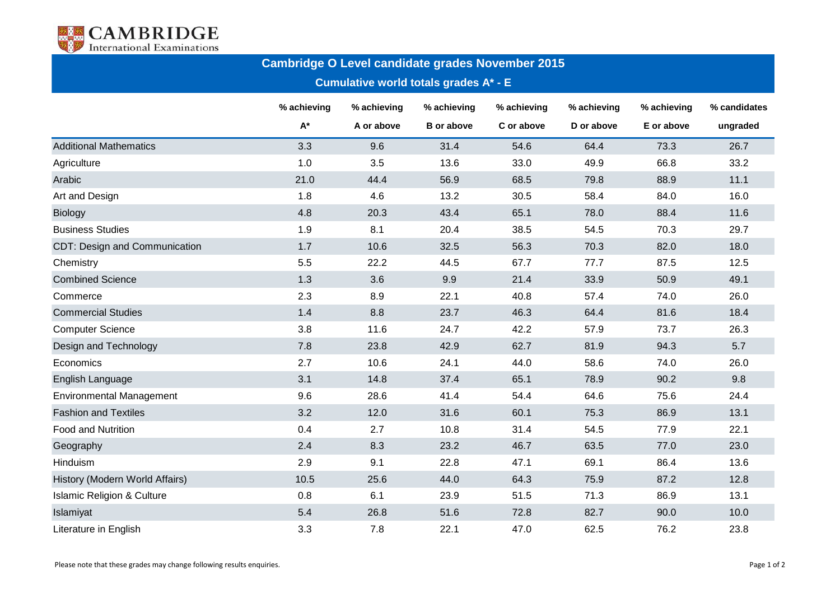

## **Cambridge O Level candidate grades November 2015**

## **Cumulative world totals grades A\* - E**

|                                       | % achieving        | % achieving<br>A or above | % achieving<br><b>B</b> or above | % achieving<br>C or above | % achieving<br>D or above | % achieving<br>E or above | % candidates<br>ungraded |
|---------------------------------------|--------------------|---------------------------|----------------------------------|---------------------------|---------------------------|---------------------------|--------------------------|
|                                       | $\mathsf{A}^\star$ |                           |                                  |                           |                           |                           |                          |
| <b>Additional Mathematics</b>         | 3.3                | 9.6                       | 31.4                             | 54.6                      | 64.4                      | 73.3                      | 26.7                     |
| Agriculture                           | 1.0                | 3.5                       | 13.6                             | 33.0                      | 49.9                      | 66.8                      | 33.2                     |
| Arabic                                | 21.0               | 44.4                      | 56.9                             | 68.5                      | 79.8                      | 88.9                      | 11.1                     |
| Art and Design                        | 1.8                | 4.6                       | 13.2                             | 30.5                      | 58.4                      | 84.0                      | 16.0                     |
| <b>Biology</b>                        | 4.8                | 20.3                      | 43.4                             | 65.1                      | 78.0                      | 88.4                      | 11.6                     |
| <b>Business Studies</b>               | 1.9                | 8.1                       | 20.4                             | 38.5                      | 54.5                      | 70.3                      | 29.7                     |
| CDT: Design and Communication         | 1.7                | 10.6                      | 32.5                             | 56.3                      | 70.3                      | 82.0                      | 18.0                     |
| Chemistry                             | 5.5                | 22.2                      | 44.5                             | 67.7                      | 77.7                      | 87.5                      | 12.5                     |
| <b>Combined Science</b>               | 1.3                | 3.6                       | 9.9                              | 21.4                      | 33.9                      | 50.9                      | 49.1                     |
| Commerce                              | 2.3                | 8.9                       | 22.1                             | 40.8                      | 57.4                      | 74.0                      | 26.0                     |
| <b>Commercial Studies</b>             | 1.4                | 8.8                       | 23.7                             | 46.3                      | 64.4                      | 81.6                      | 18.4                     |
| <b>Computer Science</b>               | 3.8                | 11.6                      | 24.7                             | 42.2                      | 57.9                      | 73.7                      | 26.3                     |
| Design and Technology                 | 7.8                | 23.8                      | 42.9                             | 62.7                      | 81.9                      | 94.3                      | 5.7                      |
| Economics                             | 2.7                | 10.6                      | 24.1                             | 44.0                      | 58.6                      | 74.0                      | 26.0                     |
| English Language                      | 3.1                | 14.8                      | 37.4                             | 65.1                      | 78.9                      | 90.2                      | 9.8                      |
| <b>Environmental Management</b>       | 9.6                | 28.6                      | 41.4                             | 54.4                      | 64.6                      | 75.6                      | 24.4                     |
| <b>Fashion and Textiles</b>           | 3.2                | 12.0                      | 31.6                             | 60.1                      | 75.3                      | 86.9                      | 13.1                     |
| <b>Food and Nutrition</b>             | 0.4                | 2.7                       | 10.8                             | 31.4                      | 54.5                      | 77.9                      | 22.1                     |
| Geography                             | 2.4                | 8.3                       | 23.2                             | 46.7                      | 63.5                      | 77.0                      | 23.0                     |
| Hinduism                              | 2.9                | 9.1                       | 22.8                             | 47.1                      | 69.1                      | 86.4                      | 13.6                     |
| History (Modern World Affairs)        | 10.5               | 25.6                      | 44.0                             | 64.3                      | 75.9                      | 87.2                      | 12.8                     |
| <b>Islamic Religion &amp; Culture</b> | 0.8                | 6.1                       | 23.9                             | 51.5                      | 71.3                      | 86.9                      | 13.1                     |
| Islamiyat                             | 5.4                | 26.8                      | 51.6                             | 72.8                      | 82.7                      | 90.0                      | 10.0                     |
| Literature in English                 | 3.3                | 7.8                       | 22.1                             | 47.0                      | 62.5                      | 76.2                      | 23.8                     |